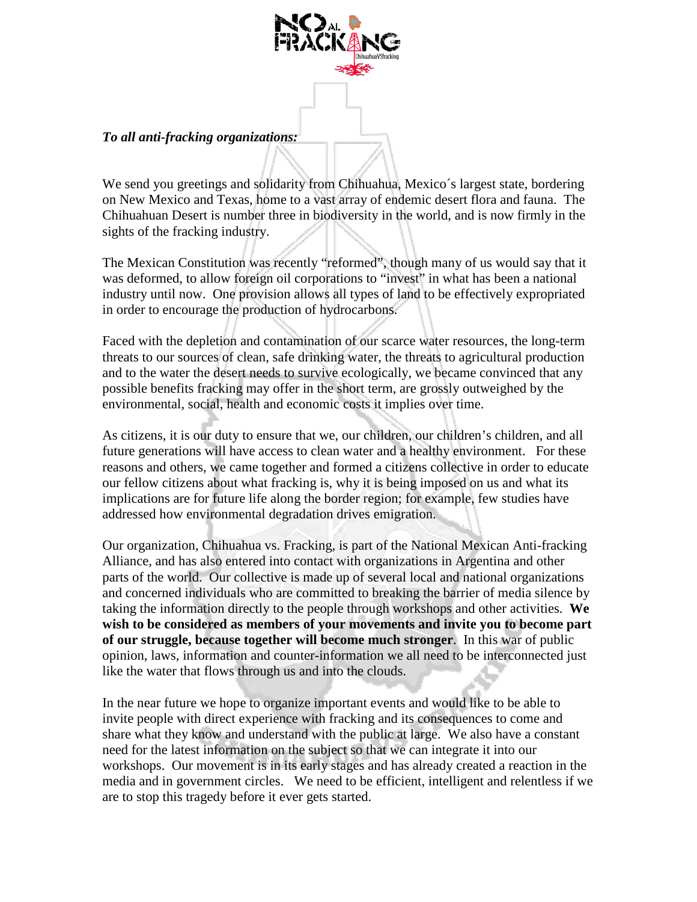

## *To all anti-fracking organizations:*

We send you greetings and solidarity from Chihuahua, Mexico's largest state, bordering on New Mexico and Texas, home to a vast array of endemic desert flora and fauna. The Chihuahuan Desert is number three in biodiversity in the world, and is now firmly in the sights of the fracking industry.

The Mexican Constitution was recently "reformed", though many of us would say that it was deformed, to allow foreign oil corporations to "invest" in what has been a national industry until now. One provision allows all types of land to be effectively expropriated in order to encourage the production of hydrocarbons.

Faced with the depletion and contamination of our scarce water resources, the long-term threats to our sources of clean, safe drinking water, the threats to agricultural production and to the water the desert needs to survive ecologically, we became convinced that any possible benefits fracking may offer in the short term, are grossly outweighed by the environmental, social, health and economic costs it implies over time.

As citizens, it is our duty to ensure that we, our children, our children's children, and all future generations will have access to clean water and a healthy environment. For these reasons and others, we came together and formed a citizens collective in order to educate our fellow citizens about what fracking is, why it is being imposed on us and what its implications are for future life along the border region; for example, few studies have addressed how environmental degradation drives emigration.

Our organization, Chihuahua vs. Fracking, is part of the National Mexican Anti-fracking Alliance, and has also entered into contact with organizations in Argentina and other parts of the world. Our collective is made up of several local and national organizations and concerned individuals who are committed to breaking the barrier of media silence by taking the information directly to the people through workshops and other activities. **We wish to be considered as members of your movements and invite you to become part of our struggle, because together will become much stronger**. In this war of public opinion, laws, information and counter-information we all need to be interconnected just like the water that flows through us and into the clouds.

In the near future we hope to organize important events and would like to be able to invite people with direct experience with fracking and its consequences to come and share what they know and understand with the public at large. We also have a constant need for the latest information on the subject so that we can integrate it into our workshops. Our movement is in its early stages and has already created a reaction in the media and in government circles. We need to be efficient, intelligent and relentless if we are to stop this tragedy before it ever gets started.